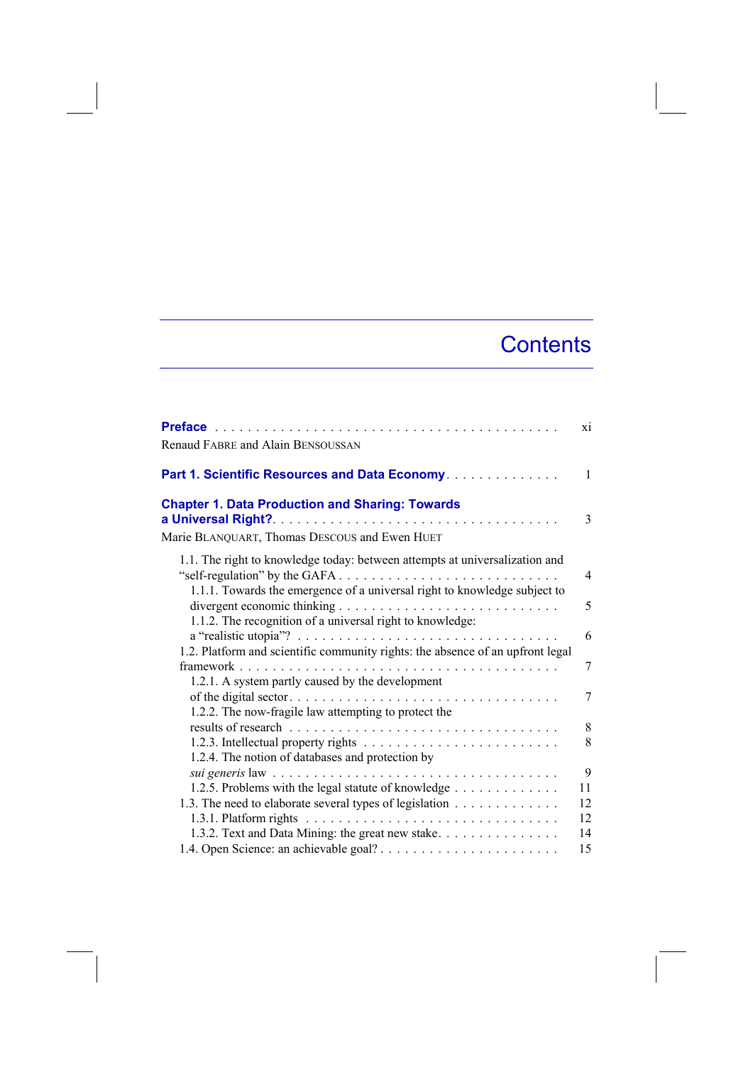## **Contents**

|                                                                                                                                                              | xi             |
|--------------------------------------------------------------------------------------------------------------------------------------------------------------|----------------|
| Renaud FABRE and Alain BENSOUSSAN                                                                                                                            |                |
| Part 1. Scientific Resources and Data Economy.                                                                                                               | 1              |
| <b>Chapter 1. Data Production and Sharing: Towards</b>                                                                                                       | 3              |
| Marie BLANQUART, Thomas DESCOUS and Ewen HUET                                                                                                                |                |
| 1.1. The right to knowledge today: between attempts at universalization and<br>1.1.1. Towards the emergence of a universal right to knowledge subject to     | $\overline{4}$ |
| divergent economic thinking $\dots \dots \dots \dots \dots \dots \dots \dots \dots \dots \dots$<br>1.1.2. The recognition of a universal right to knowledge: | 5              |
| a "realistic utopia"? $\ldots \ldots \ldots \ldots \ldots \ldots \ldots \ldots \ldots \ldots$                                                                | 6              |
| 1.2. Platform and scientific community rights: the absence of an upfront legal<br>1.2.1. A system partly caused by the development                           | 7              |
| 1.2.2. The now-fragile law attempting to protect the                                                                                                         | 7              |
|                                                                                                                                                              | 8              |
| 1.2.4. The notion of databases and protection by                                                                                                             | 8              |
|                                                                                                                                                              | 9              |
| 1.2.5. Problems with the legal statute of knowledge                                                                                                          | 11             |
| 1.3. The need to elaborate several types of legislation<br>1.3.1. Platform rights                                                                            | 12<br>12       |
| 1.3.2. Text and Data Mining: the great new stake                                                                                                             | 14             |
|                                                                                                                                                              | 15             |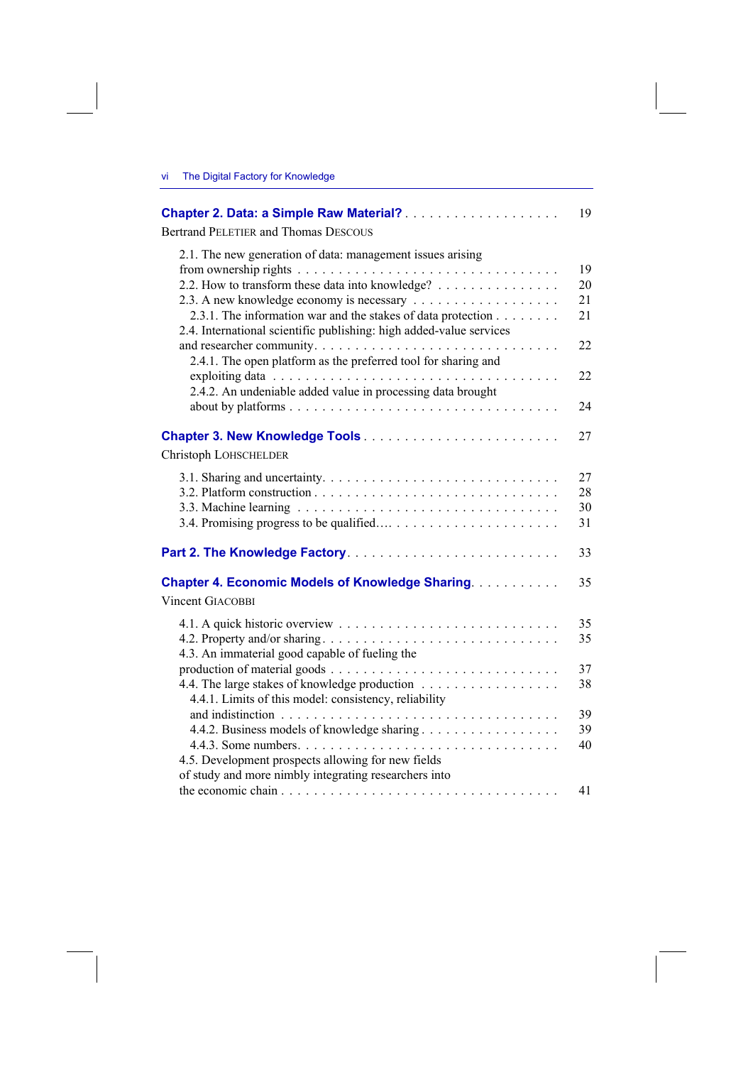|                                                                                                                                     | 19 |
|-------------------------------------------------------------------------------------------------------------------------------------|----|
| <b>Bertrand PELETIER and Thomas DESCOUS</b>                                                                                         |    |
| 2.1. The new generation of data: management issues arising                                                                          |    |
|                                                                                                                                     | 19 |
| 2.2. How to transform these data into knowledge?                                                                                    | 20 |
|                                                                                                                                     | 21 |
| 2.3.1. The information war and the stakes of data protection<br>2.4. International scientific publishing: high added-value services | 21 |
| 2.4.1. The open platform as the preferred tool for sharing and                                                                      | 22 |
|                                                                                                                                     | 22 |
| 2.4.2. An undeniable added value in processing data brought                                                                         |    |
|                                                                                                                                     | 24 |
| Christoph LOHSCHELDER                                                                                                               | 27 |
|                                                                                                                                     | 27 |
|                                                                                                                                     | 28 |
|                                                                                                                                     | 30 |
|                                                                                                                                     | 31 |
|                                                                                                                                     | 33 |
| <b>Chapter 4. Economic Models of Knowledge Sharing</b>                                                                              | 35 |
| Vincent GIACOBBI                                                                                                                    |    |
|                                                                                                                                     | 35 |
|                                                                                                                                     | 35 |
| 4.3. An immaterial good capable of fueling the                                                                                      |    |
|                                                                                                                                     | 37 |
| 4.4. The large stakes of knowledge production                                                                                       | 38 |
| 4.4.1. Limits of this model: consistency, reliability                                                                               |    |
|                                                                                                                                     | 39 |
|                                                                                                                                     | 39 |
|                                                                                                                                     | 40 |
| 4.5. Development prospects allowing for new fields                                                                                  |    |
| of study and more nimbly integrating researchers into                                                                               |    |
|                                                                                                                                     | 41 |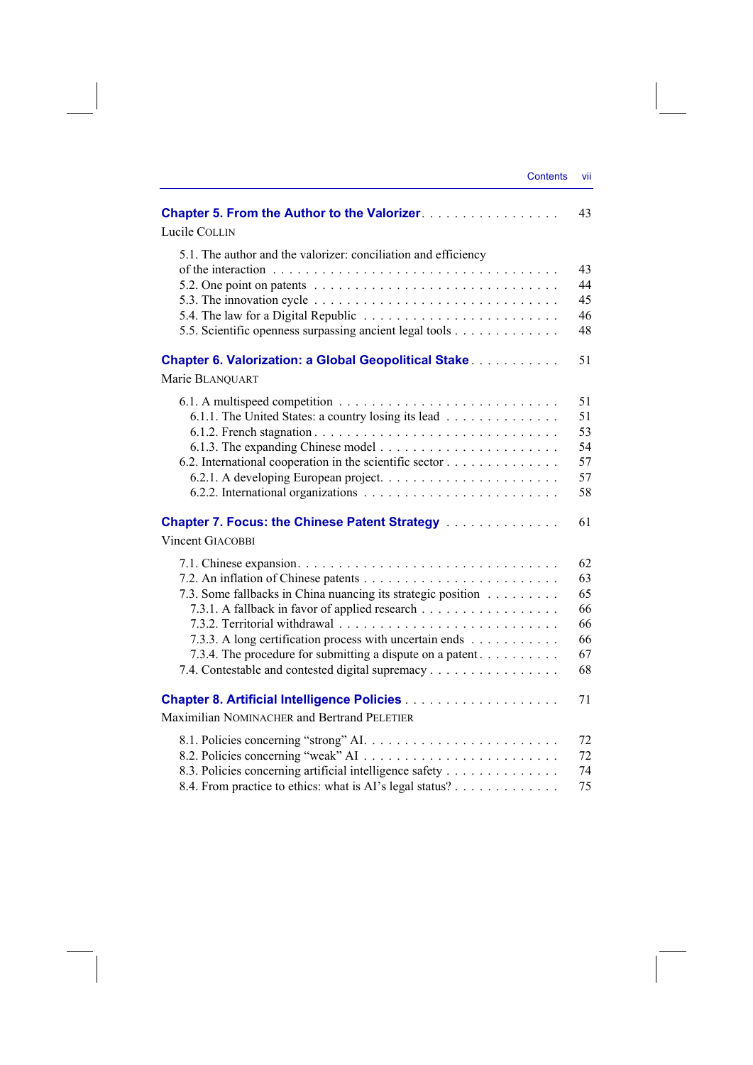| <b>Chapter 5. From the Author to the Valorizer.</b>                                                 | 43       |
|-----------------------------------------------------------------------------------------------------|----------|
| Lucile COLLIN                                                                                       |          |
| 5.1. The author and the valorizer: conciliation and efficiency                                      |          |
|                                                                                                     | 43       |
| 5.2. One point on patents $\ldots \ldots \ldots \ldots \ldots \ldots \ldots \ldots \ldots \ldots$   | 44       |
| 5.3. The innovation cycle $\dots \dots \dots \dots \dots \dots \dots \dots \dots \dots \dots \dots$ | 45       |
|                                                                                                     | 46       |
| 5.5. Scientific openness surpassing ancient legal tools                                             | 48       |
| <b>Chapter 6. Valorization: a Global Geopolitical Stake</b>                                         | 51       |
| Marie BLANQUART                                                                                     |          |
|                                                                                                     | 51       |
| 6.1.1. The United States: a country losing its lead                                                 | 51       |
|                                                                                                     | 53       |
|                                                                                                     | 54       |
| 6.2. International cooperation in the scientific sector                                             | 57       |
|                                                                                                     | 57       |
|                                                                                                     | 58       |
| <b>Chapter 7. Focus: the Chinese Patent Strategy </b>                                               | 61       |
| <b>Vincent GIACOBBI</b>                                                                             |          |
|                                                                                                     | 62       |
|                                                                                                     | 63       |
| 7.3. Some fallbacks in China nuancing its strategic position                                        | 65       |
| 7.3.1. A fallback in favor of applied research                                                      | 66       |
|                                                                                                     | 66       |
| 7.3.3. A long certification process with uncertain ends                                             | 66       |
| 7.3.4. The procedure for submitting a dispute on a patent                                           | 67<br>68 |
| 7.4. Contestable and contested digital supremacy                                                    |          |
|                                                                                                     | 71       |
| Maximilian NOMINACHER and Bertrand PELETIER                                                         |          |
|                                                                                                     | 72       |
|                                                                                                     | 72       |
| 8.3. Policies concerning artificial intelligence safety                                             | 74       |
| 8.4. From practice to ethics: what is AI's legal status?                                            | 75       |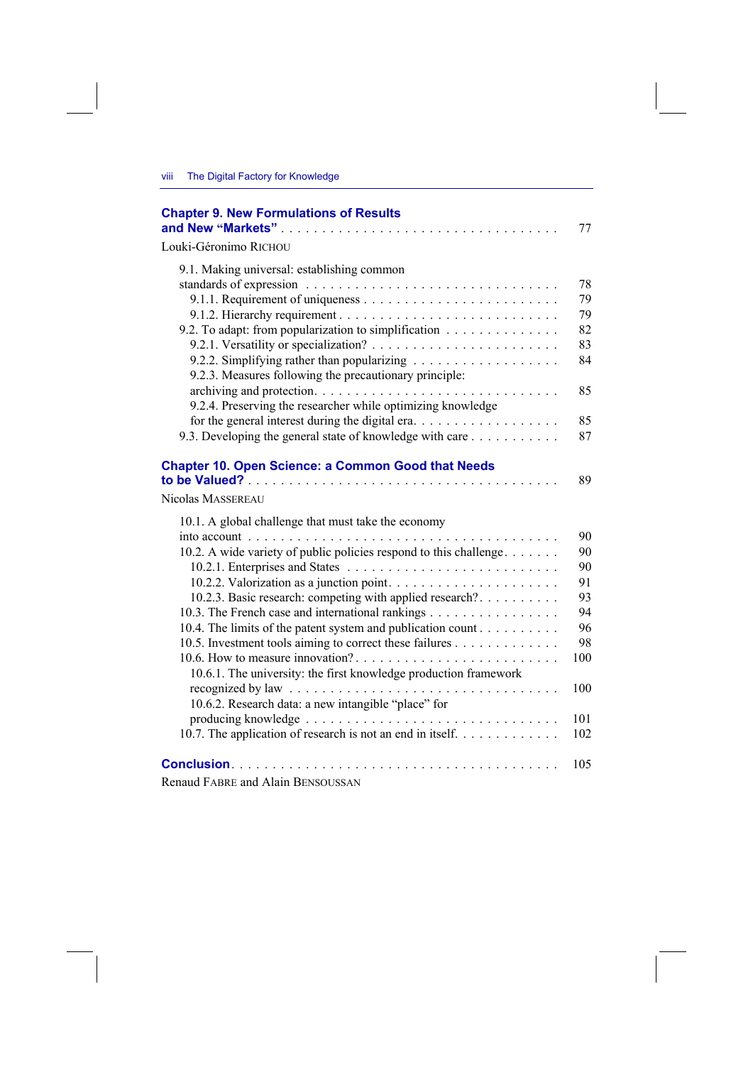| <b>Chapter 9. New Formulations of Results</b><br>and New "Markets"                                                                                      | 77                   |
|---------------------------------------------------------------------------------------------------------------------------------------------------------|----------------------|
| Louki-Géronimo RICHOU                                                                                                                                   |                      |
| 9.1. Making universal: establishing common<br>9.2. To adapt: from popularization to simplification                                                      | 78<br>79<br>79<br>82 |
| 9.2.3. Measures following the precautionary principle:                                                                                                  | 83<br>84             |
| 9.2.4. Preserving the researcher while optimizing knowledge<br>for the general interest during the digital era. $\dots \dots \dots \dots \dots \dots$   | 85<br>85             |
| 9.3. Developing the general state of knowledge with care                                                                                                | 87                   |
| <b>Chapter 10. Open Science: a Common Good that Needs</b><br>Nicolas MASSEREAU                                                                          | 89                   |
| 10.1. A global challenge that must take the economy                                                                                                     |                      |
| 10.2. A wide variety of public policies respond to this challenge                                                                                       | 90<br>90             |
|                                                                                                                                                         | 90                   |
|                                                                                                                                                         | 91                   |
| 10.2.3. Basic research: competing with applied research?                                                                                                | 93                   |
| 10.3. The French case and international rankings                                                                                                        | 94                   |
| 10.4. The limits of the patent system and publication count                                                                                             | 96                   |
| 10.5. Investment tools aiming to correct these failures                                                                                                 | 98                   |
| 10.6.1. The university: the first knowledge production framework                                                                                        | 100                  |
| recognized by law $\ldots \ldots \ldots \ldots \ldots \ldots \ldots \ldots \ldots \ldots \ldots$<br>10.6.2. Research data: a new intangible "place" for | 100                  |
| 10.7. The application of research is not an end in itself.                                                                                              | 101<br>102           |
|                                                                                                                                                         | 105                  |

Renaud FABRE and Alain BENSOUSSAN